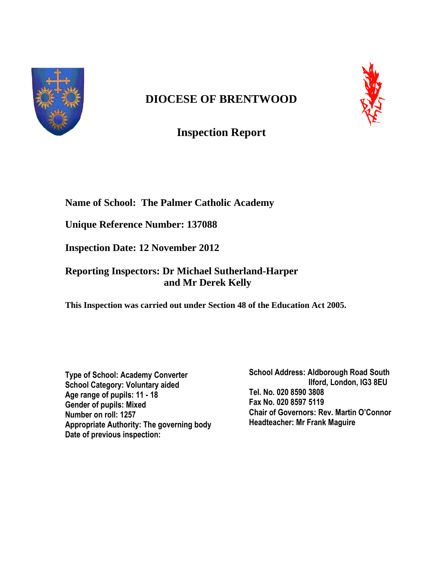

# **DIOCESE OF BRENTWOOD**



**Inspection Report**

# **Name of School: The Palmer Catholic Academy**

**Unique Reference Number: 137088**

**Inspection Date: 12 November 2012** 

# **Reporting Inspectors: Dr Michael Sutherland-Harper and Mr Derek Kelly**

**This Inspection was carried out under Section 48 of the Education Act 2005.**

**Type of School: Academy Converter School Category: Voluntary aided Age range of pupils: 11 - 18 Gender of pupils: Mixed Number on roll: 1257 Appropriate Authority: The governing body Date of previous inspection:**

**School Address: Aldborough Road South Ilford, London, IG3 8EU Tel. No. 020 8590 3808 Fax No. 020 8597 5119 Chair of Governors: Rev. Martin O'Connor Headteacher: Mr Frank Maguire**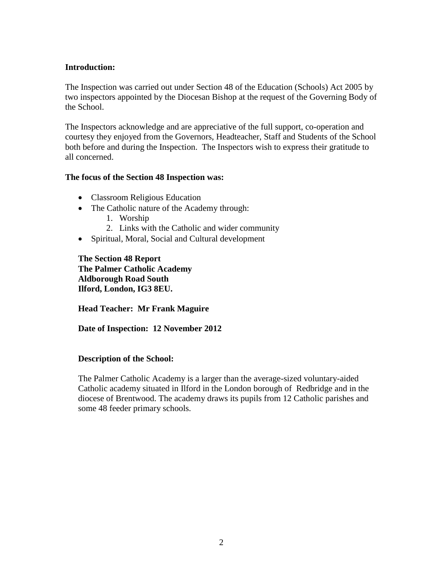## **Introduction:**

The Inspection was carried out under Section 48 of the Education (Schools) Act 2005 by two inspectors appointed by the Diocesan Bishop at the request of the Governing Body of the School.

The Inspectors acknowledge and are appreciative of the full support, co-operation and courtesy they enjoyed from the Governors, Headteacher, Staff and Students of the School both before and during the Inspection. The Inspectors wish to express their gratitude to all concerned.

#### **The focus of the Section 48 Inspection was:**

- Classroom Religious Education
- The Catholic nature of the Academy through:
	- 1. Worship
	- 2. Links with the Catholic and wider community
- Spiritual, Moral, Social and Cultural development

**The Section 48 Report The Palmer Catholic Academy Aldborough Road South Ilford, London, IG3 8EU.**

**Head Teacher: Mr Frank Maguire**

**Date of Inspection: 12 November 2012**

#### **Description of the School:**

The Palmer Catholic Academy is a larger than the average-sized voluntary-aided Catholic academy situated in Ilford in the London borough of Redbridge and in the diocese of Brentwood. The academy draws its pupils from 12 Catholic parishes and some 48 feeder primary schools.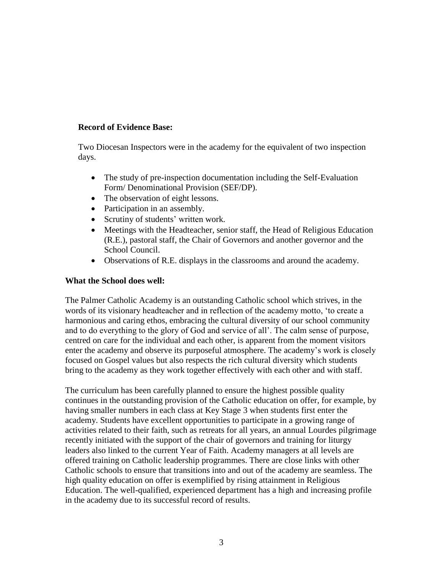## **Record of Evidence Base:**

Two Diocesan Inspectors were in the academy for the equivalent of two inspection days.

- The study of pre-inspection documentation including the Self-Evaluation Form/ Denominational Provision (SEF/DP).
- The observation of eight lessons.
- Participation in an assembly.
- Scrutiny of students' written work.
- Meetings with the Headteacher, senior staff, the Head of Religious Education (R.E.), pastoral staff, the Chair of Governors and another governor and the School Council.
- Observations of R.E. displays in the classrooms and around the academy.

### **What the School does well:**

The Palmer Catholic Academy is an outstanding Catholic school which strives, in the words of its visionary headteacher and in reflection of the academy motto, 'to create a harmonious and caring ethos, embracing the cultural diversity of our school community and to do everything to the glory of God and service of all'. The calm sense of purpose, centred on care for the individual and each other, is apparent from the moment visitors enter the academy and observe its purposeful atmosphere. The academy's work is closely focused on Gospel values but also respects the rich cultural diversity which students bring to the academy as they work together effectively with each other and with staff.

The curriculum has been carefully planned to ensure the highest possible quality continues in the outstanding provision of the Catholic education on offer, for example, by having smaller numbers in each class at Key Stage 3 when students first enter the academy. Students have excellent opportunities to participate in a growing range of activities related to their faith, such as retreats for all years, an annual Lourdes pilgrimage recently initiated with the support of the chair of governors and training for liturgy leaders also linked to the current Year of Faith. Academy managers at all levels are offered training on Catholic leadership programmes. There are close links with other Catholic schools to ensure that transitions into and out of the academy are seamless. The high quality education on offer is exemplified by rising attainment in Religious Education. The well-qualified, experienced department has a high and increasing profile in the academy due to its successful record of results.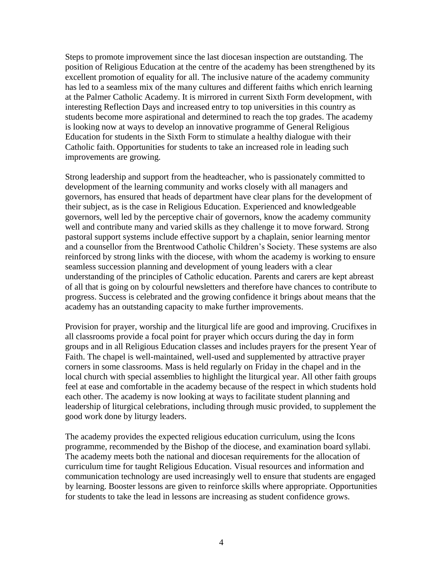Steps to promote improvement since the last diocesan inspection are outstanding. The position of Religious Education at the centre of the academy has been strengthened by its excellent promotion of equality for all. The inclusive nature of the academy community has led to a seamless mix of the many cultures and different faiths which enrich learning at the Palmer Catholic Academy. It is mirrored in current Sixth Form development, with interesting Reflection Days and increased entry to top universities in this country as students become more aspirational and determined to reach the top grades. The academy is looking now at ways to develop an innovative programme of General Religious Education for students in the Sixth Form to stimulate a healthy dialogue with their Catholic faith. Opportunities for students to take an increased role in leading such improvements are growing.

Strong leadership and support from the headteacher, who is passionately committed to development of the learning community and works closely with all managers and governors, has ensured that heads of department have clear plans for the development of their subject, as is the case in Religious Education. Experienced and knowledgeable governors, well led by the perceptive chair of governors, know the academy community well and contribute many and varied skills as they challenge it to move forward. Strong pastoral support systems include effective support by a chaplain, senior learning mentor and a counsellor from the Brentwood Catholic Children's Society. These systems are also reinforced by strong links with the diocese, with whom the academy is working to ensure seamless succession planning and development of young leaders with a clear understanding of the principles of Catholic education. Parents and carers are kept abreast of all that is going on by colourful newsletters and therefore have chances to contribute to progress. Success is celebrated and the growing confidence it brings about means that the academy has an outstanding capacity to make further improvements.

Provision for prayer, worship and the liturgical life are good and improving. Crucifixes in all classrooms provide a focal point for prayer which occurs during the day in form groups and in all Religious Education classes and includes prayers for the present Year of Faith. The chapel is well-maintained, well-used and supplemented by attractive prayer corners in some classrooms. Mass is held regularly on Friday in the chapel and in the local church with special assemblies to highlight the liturgical year. All other faith groups feel at ease and comfortable in the academy because of the respect in which students hold each other. The academy is now looking at ways to facilitate student planning and leadership of liturgical celebrations, including through music provided, to supplement the good work done by liturgy leaders.

The academy provides the expected religious education curriculum, using the Icons programme, recommended by the Bishop of the diocese, and examination board syllabi. The academy meets both the national and diocesan requirements for the allocation of curriculum time for taught Religious Education. Visual resources and information and communication technology are used increasingly well to ensure that students are engaged by learning. Booster lessons are given to reinforce skills where appropriate. Opportunities for students to take the lead in lessons are increasing as student confidence grows.